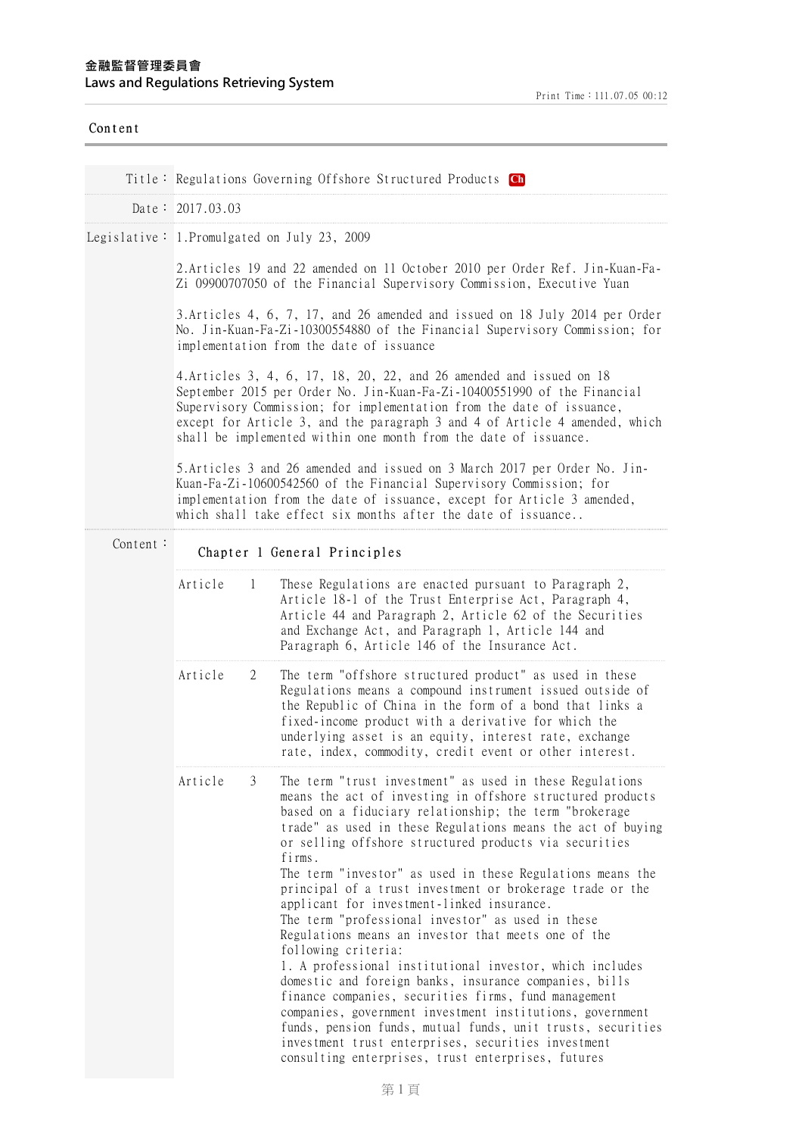| Content  |                    |                                                                                                                                                                                                                                                                                                                                                                                                                                                                                                                                                                                                                                                                                                                                                                                                                                                                                                                                                                                                                                                        |  |  |  |  |  |
|----------|--------------------|--------------------------------------------------------------------------------------------------------------------------------------------------------------------------------------------------------------------------------------------------------------------------------------------------------------------------------------------------------------------------------------------------------------------------------------------------------------------------------------------------------------------------------------------------------------------------------------------------------------------------------------------------------------------------------------------------------------------------------------------------------------------------------------------------------------------------------------------------------------------------------------------------------------------------------------------------------------------------------------------------------------------------------------------------------|--|--|--|--|--|
|          |                    | Title: Regulations Governing Offshore Structured Products Ch                                                                                                                                                                                                                                                                                                                                                                                                                                                                                                                                                                                                                                                                                                                                                                                                                                                                                                                                                                                           |  |  |  |  |  |
|          | Date: $2017.03.03$ |                                                                                                                                                                                                                                                                                                                                                                                                                                                                                                                                                                                                                                                                                                                                                                                                                                                                                                                                                                                                                                                        |  |  |  |  |  |
|          |                    | Legislative: 1. Promulgated on July 23, 2009                                                                                                                                                                                                                                                                                                                                                                                                                                                                                                                                                                                                                                                                                                                                                                                                                                                                                                                                                                                                           |  |  |  |  |  |
|          |                    | 2. Articles 19 and 22 amended on 11 October 2010 per Order Ref. Jin-Kuan-Fa-<br>Zi 09900707050 of the Financial Supervisory Commission, Executive Yuan                                                                                                                                                                                                                                                                                                                                                                                                                                                                                                                                                                                                                                                                                                                                                                                                                                                                                                 |  |  |  |  |  |
|          |                    | 3. Articles 4, 6, 7, 17, and 26 amended and issued on 18 July 2014 per Order<br>No. Jin-Kuan-Fa-Zi-10300554880 of the Financial Supervisory Commission; for<br>implementation from the date of issuance                                                                                                                                                                                                                                                                                                                                                                                                                                                                                                                                                                                                                                                                                                                                                                                                                                                |  |  |  |  |  |
|          |                    | 4. Articles 3, 4, 6, 17, 18, 20, 22, and 26 amended and issued on 18<br>September 2015 per Order No. Jin-Kuan-Fa-Zi-10400551990 of the Financial<br>Supervisory Commission; for implementation from the date of issuance,<br>except for Article 3, and the paragraph 3 and 4 of Article 4 amended, which<br>shall be implemented within one month from the date of issuance.                                                                                                                                                                                                                                                                                                                                                                                                                                                                                                                                                                                                                                                                           |  |  |  |  |  |
|          |                    | 5. Articles 3 and 26 amended and issued on 3 March 2017 per Order No. Jin-<br>Kuan-Fa-Zi-10600542560 of the Financial Supervisory Commission; for<br>implementation from the date of issuance, except for Article 3 amended,<br>which shall take effect six months after the date of issuance                                                                                                                                                                                                                                                                                                                                                                                                                                                                                                                                                                                                                                                                                                                                                          |  |  |  |  |  |
| Content: |                    | Chapter 1 General Principles                                                                                                                                                                                                                                                                                                                                                                                                                                                                                                                                                                                                                                                                                                                                                                                                                                                                                                                                                                                                                           |  |  |  |  |  |
|          | Article<br>1       | These Regulations are enacted pursuant to Paragraph 2,<br>Article 18-1 of the Trust Enterprise Act, Paragraph 4,<br>Article 44 and Paragraph 2, Article 62 of the Securities<br>and Exchange Act, and Paragraph 1, Article 144 and<br>Paragraph 6, Article 146 of the Insurance Act.                                                                                                                                                                                                                                                                                                                                                                                                                                                                                                                                                                                                                                                                                                                                                                   |  |  |  |  |  |
|          | Article<br>2       | The term "offshore structured product" as used in these<br>Regulations means a compound instrument issued outside of<br>the Republic of China in the form of a bond that links a<br>fixed-income product with a derivative for which the<br>underlying asset is an equity, interest rate, exchange<br>rate, index, commodity, credit event or other interest.                                                                                                                                                                                                                                                                                                                                                                                                                                                                                                                                                                                                                                                                                          |  |  |  |  |  |
|          | Article<br>3       | The term "trust investment" as used in these Regulations<br>means the act of investing in offshore structured products<br>based on a fiduciary relationship; the term "brokerage<br>trade" as used in these Regulations means the act of buying<br>or selling offshore structured products via securities<br>firms.<br>The term "investor" as used in these Regulations means the<br>principal of a trust investment or brokerage trade or the<br>applicant for investment-linked insurance.<br>The term "professional investor" as used in these<br>Regulations means an investor that meets one of the<br>following criteria:<br>1. A professional institutional investor, which includes<br>domestic and foreign banks, insurance companies, bills<br>finance companies, securities firms, fund management<br>companies, government investment institutions, government<br>funds, pension funds, mutual funds, unit trusts, securities<br>investment trust enterprises, securities investment<br>consulting enterprises, trust enterprises, futures |  |  |  |  |  |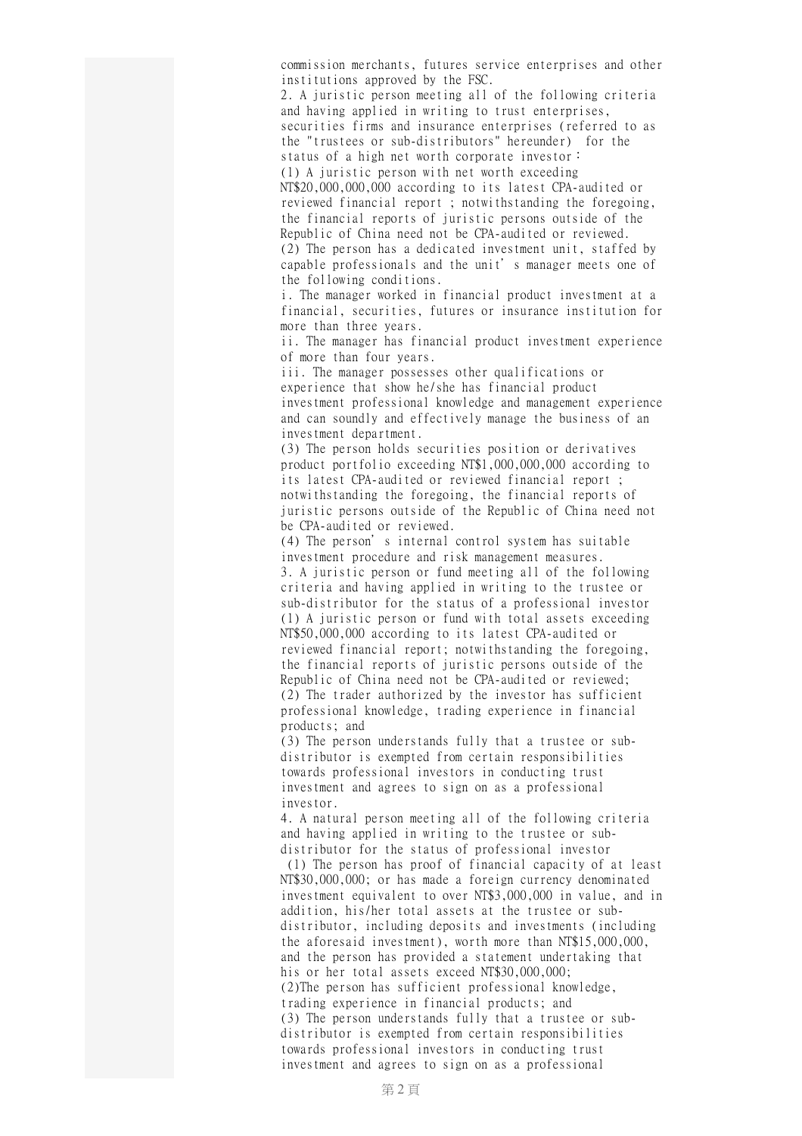commission merchants, futures service enterprises and other institutions approved by the FSC.

2. A juristic person meeting all of the following criteria and having applied in writing to trust enterprises, securities firms and insurance enterprises (referred to as the "trustees or sub-distributors" hereunder) for the status of a high net worth corporate investor: (1) A juristic person with net worth exceeding

NT\$20,000,000,000 according to its latest CPA-audited or reviewed financial report ; notwithstanding the foregoing, the financial reports of juristic persons outside of the Republic of China need not be CPA-audited or reviewed. (2) The person has a dedicated investment unit, staffed by

capable professionals and the unit's manager meets one of the following conditions.

i. The manager worked in financial product investment at a financial, securities, futures or insurance institution for more than three years.

ii. The manager has financial product investment experience of more than four years.

iii. The manager possesses other qualifications or experience that show he/she has financial product investment professional knowledge and management experience and can soundly and effectively manage the business of an investment department.

(3) The person holds securities position or derivatives product portfolio exceeding NT\$1,000,000,000 according to its latest CPA-audited or reviewed financial report ; notwithstanding the foregoing, the financial reports of juristic persons outside of the Republic of China need not be CPA-audited or reviewed.

(4) The person's internal control system has suitable investment procedure and risk management measures. 3. A juristic person or fund meeting all of the following criteria and having applied in writing to the trustee or sub-distributor for the status of a professional investor (1) A juristic person or fund with total assets exceeding NT\$50,000,000 according to its latest CPA-audited or reviewed financial report; notwithstanding the foregoing, the financial reports of juristic persons outside of the Republic of China need not be CPA-audited or reviewed; (2) The trader authorized by the investor has sufficient professional knowledge, trading experience in financial products; and

(3) The person understands fully that a trustee or subdistributor is exempted from certain responsibilities towards professional investors in conducting trust investment and agrees to sign on as a professional investor.

4. A natural person meeting all of the following criteria and having applied in writing to the trustee or subdistributor for the status of professional investor

(1) The person has proof of financial capacity of at least NT\$30,000,000; or has made a foreign currency denominated investment equivalent to over NT\$3,000,000 in value, and in addition, his/her total assets at the trustee or subdistributor, including deposits and investments (including the aforesaid investment), worth more than NT\$15,000,000, and the person has provided a statement undertaking that his or her total assets exceed NT\$30,000,000; (2)The person has sufficient professional knowledge, trading experience in financial products; and (3) The person understands fully that a trustee or subdistributor is exempted from certain responsibilities towards professional investors in conducting trust investment and agrees to sign on as a professional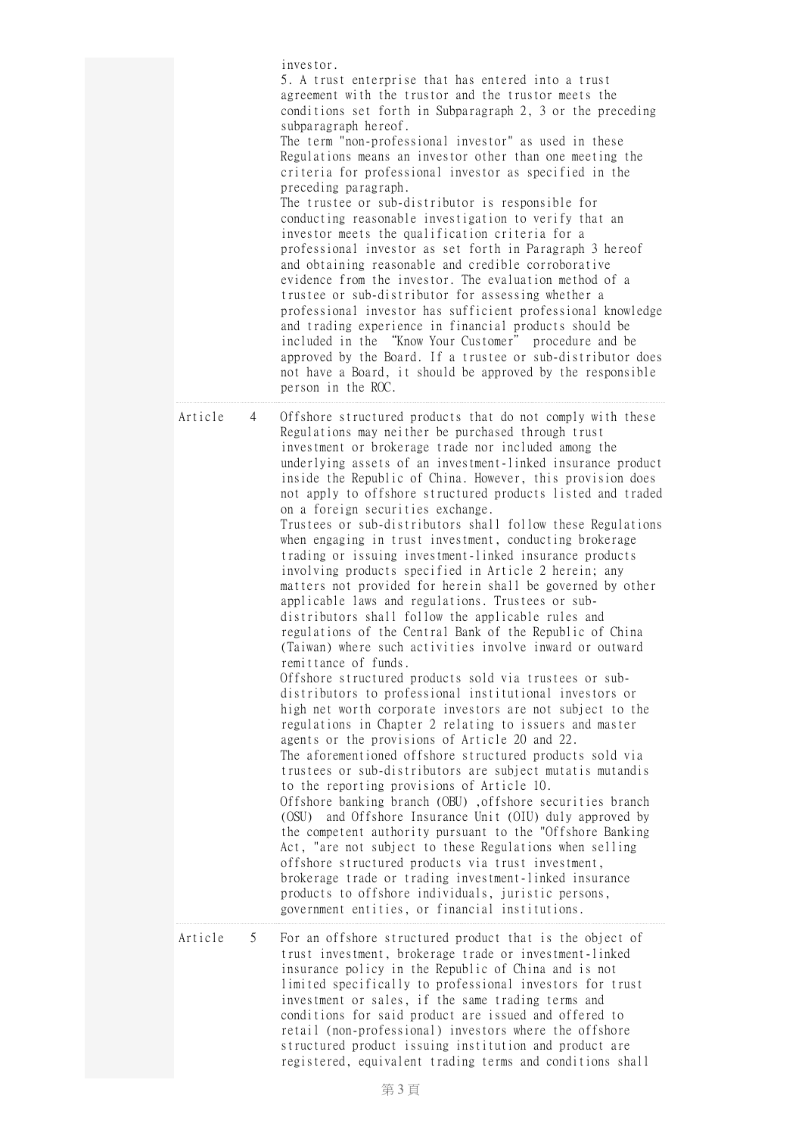|         |   | investor.<br>5. A trust enterprise that has entered into a trust<br>agreement with the trustor and the trustor meets the<br>conditions set forth in Subparagraph 2, 3 or the preceding<br>subparagraph hereof.<br>The term "non-professional investor" as used in these<br>Regulations means an investor other than one meeting the<br>criteria for professional investor as specified in the<br>preceding paragraph.<br>The trustee or sub-distributor is responsible for<br>conducting reasonable investigation to verify that an<br>investor meets the qualification criteria for a<br>professional investor as set forth in Paragraph 3 hereof<br>and obtaining reasonable and credible corroborative<br>evidence from the investor. The evaluation method of a<br>trustee or sub-distributor for assessing whether a<br>professional investor has sufficient professional knowledge<br>and trading experience in financial products should be<br>included in the "Know Your Customer" procedure and be<br>approved by the Board. If a trustee or sub-distributor does<br>not have a Board, it should be approved by the responsible<br>person in the ROC.                                                                                                                                                                                                                                                                                                                                                                                                                                                                                                                                                                                                                                                                                                                                                                       |
|---------|---|--------------------------------------------------------------------------------------------------------------------------------------------------------------------------------------------------------------------------------------------------------------------------------------------------------------------------------------------------------------------------------------------------------------------------------------------------------------------------------------------------------------------------------------------------------------------------------------------------------------------------------------------------------------------------------------------------------------------------------------------------------------------------------------------------------------------------------------------------------------------------------------------------------------------------------------------------------------------------------------------------------------------------------------------------------------------------------------------------------------------------------------------------------------------------------------------------------------------------------------------------------------------------------------------------------------------------------------------------------------------------------------------------------------------------------------------------------------------------------------------------------------------------------------------------------------------------------------------------------------------------------------------------------------------------------------------------------------------------------------------------------------------------------------------------------------------------------------------------------------------------------------------------------------------------------------|
| Article | 4 | Offshore structured products that do not comply with these<br>Regulations may neither be purchased through trust<br>investment or brokerage trade nor included among the<br>underlying assets of an investment-linked insurance product<br>inside the Republic of China. However, this provision does<br>not apply to offshore structured products listed and traded<br>on a foreign securities exchange.<br>Trustees or sub-distributors shall follow these Regulations<br>when engaging in trust investment, conducting brokerage<br>trading or issuing investment-linked insurance products<br>involving products specified in Article 2 herein; any<br>matters not provided for herein shall be governed by other<br>applicable laws and regulations. Trustees or sub-<br>distributors shall follow the applicable rules and<br>regulations of the Central Bank of the Republic of China<br>(Taiwan) where such activities involve inward or outward<br>remittance of funds.<br>Offshore structured products sold via trustees or sub-<br>distributors to professional institutional investors or<br>high net worth corporate investors are not subject to the<br>regulations in Chapter 2 relating to issuers and master<br>agents or the provisions of Article 20 and 22.<br>The aforementioned offshore structured products sold via<br>trustees or sub-distributors are subject mutatis mutandis<br>to the reporting provisions of Article 10.<br>Offshore banking branch (OBU), offshore securities branch<br>and Offshore Insurance Unit (OIU) duly approved by<br>(OSU)<br>the competent authority pursuant to the "Offshore Banking<br>Act, "are not subject to these Regulations when selling<br>offshore structured products via trust investment,<br>brokerage trade or trading investment-linked insurance<br>products to offshore individuals, juristic persons,<br>government entities, or financial institutions. |
| Article | 5 | For an offshore structured product that is the object of<br>trust investment, brokerage trade or investment-linked<br>insurance policy in the Republic of China and is not<br>limited specifically to professional investors for trust<br>investment or sales, if the same trading terms and<br>conditions for said product are issued and offered to<br>retail (non-professional) investors where the offshore<br>structured product issuing institution and product are<br>registered, equivalent trading terms and conditions shall                                                                                                                                                                                                                                                                                                                                                                                                                                                                                                                                                                                                                                                                                                                                                                                                                                                                                                                                                                                                                                                                                                                                                                                                                                                                                                                                                                                               |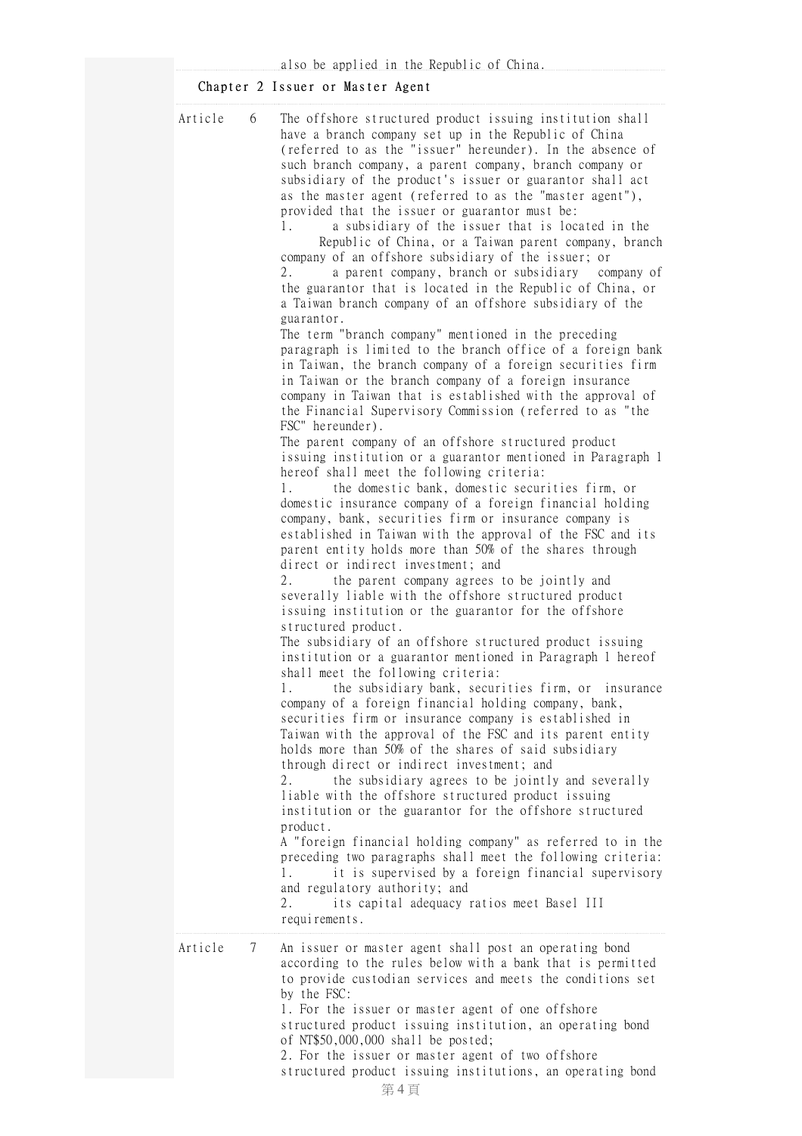## Chapter 2 Issuer or Master Agent

| 6<br>Article<br>The offshore structured product issuing institution shall<br>have a branch company set up in the Republic of China<br>such branch company, a parent company, branch company or<br>subsidiary of the product's issuer or guarantor shall act<br>as the master agent (referred to as the "master agent"),<br>provided that the issuer or guarantor must be:<br>a subsidiary of the issuer that is located in the<br>1.<br>company of an offshore subsidiary of the issuer; or<br>2.<br>a parent company, branch or subsidiary<br>a Taiwan branch company of an offshore subsidiary of the<br>guarantor.<br>The term "branch company" mentioned in the preceding<br>in Taiwan or the branch company of a foreign insurance<br>the Financial Supervisory Commission (referred to as "the<br>FSC" hereunder).<br>The parent company of an offshore structured product<br>hereof shall meet the following criteria:<br>the domestic bank, domestic securities firm, or<br>1.<br>domestic insurance company of a foreign financial holding<br>company, bank, securities firm or insurance company is<br>parent entity holds more than 50% of the shares through<br>direct or indirect investment; and<br>2.<br>the parent company agrees to be jointly and<br>severally liable with the offshore structured product<br>issuing institution or the guarantor for the offshore<br>structured product.<br>The subsidiary of an offshore structured product issuing<br>shall meet the following criteria:<br>1.<br>company of a foreign financial holding company, bank,<br>securities firm or insurance company is established in<br>Taiwan with the approval of the FSC and its parent entity<br>holds more than 50% of the shares of said subsidiary<br>through direct or indirect investment; and<br>2.<br>the subsidiary agrees to be jointly and severally<br>liable with the offshore structured product issuing<br>institution or the guarantor for the offshore structured<br>product. |                                                                                                                                                                                                                                                                                                                                                                                                                                                                                                                                                                                                                                                                                                                                                                                                                                  |
|------------------------------------------------------------------------------------------------------------------------------------------------------------------------------------------------------------------------------------------------------------------------------------------------------------------------------------------------------------------------------------------------------------------------------------------------------------------------------------------------------------------------------------------------------------------------------------------------------------------------------------------------------------------------------------------------------------------------------------------------------------------------------------------------------------------------------------------------------------------------------------------------------------------------------------------------------------------------------------------------------------------------------------------------------------------------------------------------------------------------------------------------------------------------------------------------------------------------------------------------------------------------------------------------------------------------------------------------------------------------------------------------------------------------------------------------------------------------------------------------------------------------------------------------------------------------------------------------------------------------------------------------------------------------------------------------------------------------------------------------------------------------------------------------------------------------------------------------------------------------------------------------------------------------------------------------------------------------------------------------------|----------------------------------------------------------------------------------------------------------------------------------------------------------------------------------------------------------------------------------------------------------------------------------------------------------------------------------------------------------------------------------------------------------------------------------------------------------------------------------------------------------------------------------------------------------------------------------------------------------------------------------------------------------------------------------------------------------------------------------------------------------------------------------------------------------------------------------|
| 1.<br>and regulatory authority; and<br>its capital adequacy ratios meet Basel III<br>2.<br>requirements.                                                                                                                                                                                                                                                                                                                                                                                                                                                                                                                                                                                                                                                                                                                                                                                                                                                                                                                                                                                                                                                                                                                                                                                                                                                                                                                                                                                                                                                                                                                                                                                                                                                                                                                                                                                                                                                                                             | (referred to as the "issuer" hereunder). In the absence of<br>Republic of China, or a Taiwan parent company, branch<br>company of<br>the guarantor that is located in the Republic of China, or<br>paragraph is limited to the branch office of a foreign bank<br>in Taiwan, the branch company of a foreign securities firm<br>company in Taiwan that is established with the approval of<br>issuing institution or a guarantor mentioned in Paragraph 1<br>established in Taiwan with the approval of the FSC and its<br>institution or a guarantor mentioned in Paragraph 1 hereof<br>the subsidiary bank, securities firm, or insurance<br>A "foreign financial holding company" as referred to in the<br>preceding two paragraphs shall meet the following criteria:<br>it is supervised by a foreign financial supervisory |
| Article<br>An issuer or master agent shall post an operating bond<br>7                                                                                                                                                                                                                                                                                                                                                                                                                                                                                                                                                                                                                                                                                                                                                                                                                                                                                                                                                                                                                                                                                                                                                                                                                                                                                                                                                                                                                                                                                                                                                                                                                                                                                                                                                                                                                                                                                                                               | according to the rules below with a bank that is permitted                                                                                                                                                                                                                                                                                                                                                                                                                                                                                                                                                                                                                                                                                                                                                                       |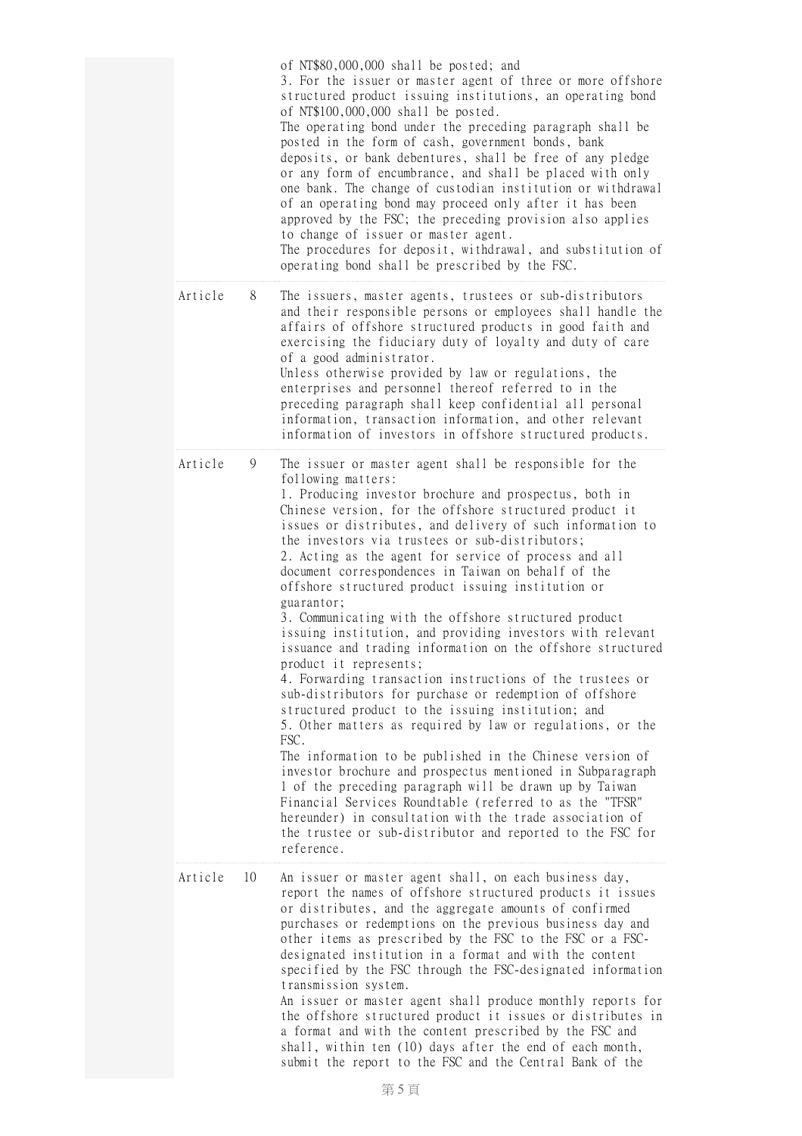|               | of NT\$80,000,000 shall be posted; and<br>3. For the issuer or master agent of three or more offshore<br>structured product issuing institutions, an operating bond<br>of NT\$100,000,000 shall be posted.<br>The operating bond under the preceding paragraph shall be<br>posted in the form of cash, government bonds, bank<br>deposits, or bank debentures, shall be free of any pledge<br>or any form of encumbrance, and shall be placed with only<br>one bank. The change of custodian institution or withdrawal<br>of an operating bond may proceed only after it has been<br>approved by the FSC; the preceding provision also applies<br>to change of issuer or master agent.<br>The procedures for deposit, withdrawal, and substitution of<br>operating bond shall be prescribed by the FSC.                                                                                                                                                                                                                                                                                                                                                                                                                                                                                                                                                               |
|---------------|-----------------------------------------------------------------------------------------------------------------------------------------------------------------------------------------------------------------------------------------------------------------------------------------------------------------------------------------------------------------------------------------------------------------------------------------------------------------------------------------------------------------------------------------------------------------------------------------------------------------------------------------------------------------------------------------------------------------------------------------------------------------------------------------------------------------------------------------------------------------------------------------------------------------------------------------------------------------------------------------------------------------------------------------------------------------------------------------------------------------------------------------------------------------------------------------------------------------------------------------------------------------------------------------------------------------------------------------------------------------------|
| Article<br>8  | The issuers, master agents, trustees or sub-distributors<br>and their responsible persons or employees shall handle the<br>affairs of offshore structured products in good faith and<br>exercising the fiduciary duty of loyalty and duty of care<br>of a good administrator.<br>Unless otherwise provided by law or regulations, the<br>enterprises and personnel thereof referred to in the<br>preceding paragraph shall keep confidential all personal<br>information, transaction information, and other relevant<br>information of investors in offshore structured products.                                                                                                                                                                                                                                                                                                                                                                                                                                                                                                                                                                                                                                                                                                                                                                                    |
| Article<br>9  | The issuer or master agent shall be responsible for the<br>following matters:<br>1. Producing investor brochure and prospectus, both in<br>Chinese version, for the offshore structured product it<br>issues or distributes, and delivery of such information to<br>the investors via trustees or sub-distributors;<br>2. Acting as the agent for service of process and all<br>document correspondences in Taiwan on behalf of the<br>offshore structured product issuing institution or<br>guarantor;<br>3. Communicating with the offshore structured product<br>issuing institution, and providing investors with relevant<br>issuance and trading information on the offshore structured<br>product it represents;<br>4. Forwarding transaction instructions of the trustees or<br>sub-distributors for purchase or redemption of offshore<br>structured product to the issuing institution; and<br>5. Other matters as required by law or regulations, or the<br>FSC.<br>The information to be published in the Chinese version of<br>investor brochure and prospectus mentioned in Subparagraph<br>1 of the preceding paragraph will be drawn up by Taiwan<br>Financial Services Roundtable (referred to as the "TFSR"<br>hereunder) in consultation with the trade association of<br>the trustee or sub-distributor and reported to the FSC for<br>reference. |
| Article<br>10 | An issuer or master agent shall, on each business day,<br>report the names of offshore structured products it issues<br>or distributes, and the aggregate amounts of confirmed<br>purchases or redemptions on the previous business day and<br>other items as prescribed by the FSC to the FSC or a FSC-<br>designated institution in a format and with the content<br>specified by the FSC through the FSC-designated information<br>transmission system.<br>An issuer or master agent shall produce monthly reports for<br>the offshore structured product it issues or distributes in<br>a format and with the content prescribed by the FSC and<br>shall, within ten (10) days after the end of each month,<br>submit the report to the FSC and the Central Bank of the                                                                                                                                                                                                                                                                                                                                                                                                                                                                                                                                                                                           |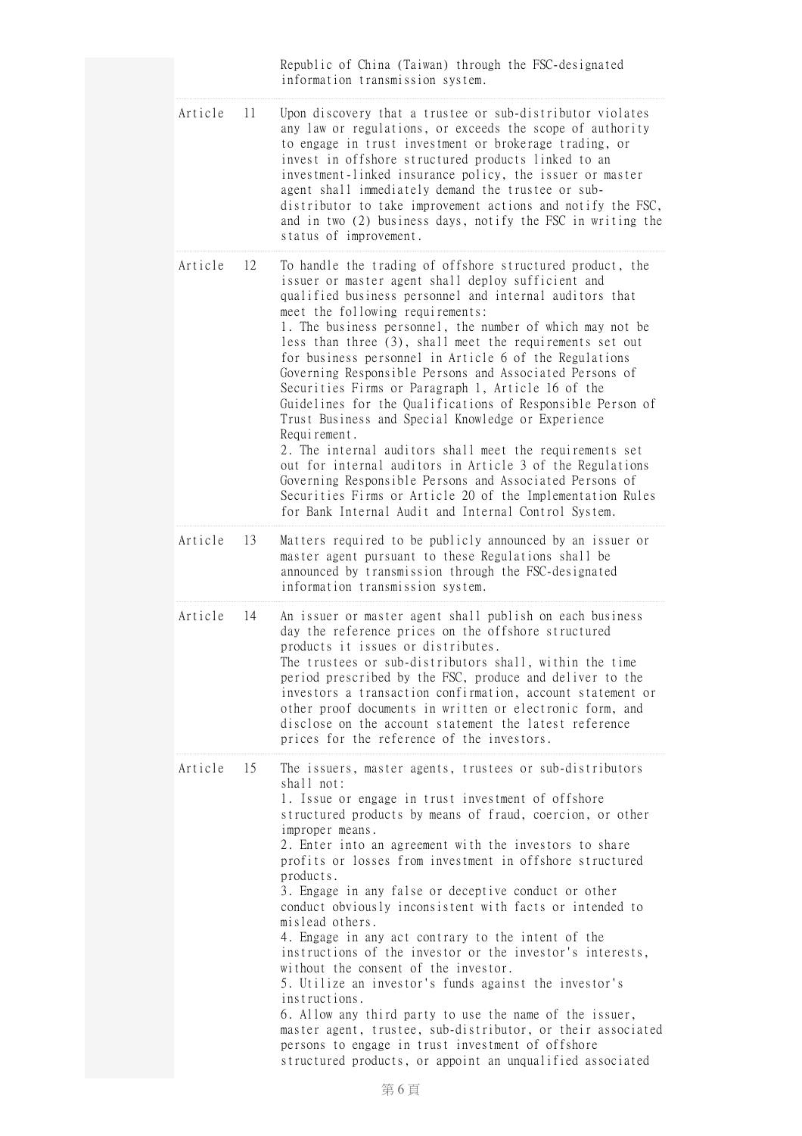|  |         |     | Republic of China (Taiwan) through the FSC-designated<br>information transmission system.                                                                                                                                                                                                                                                                                                                                                                                                                                                                                                                                                                                                                                                                                                                                                                                                                                                                               |
|--|---------|-----|-------------------------------------------------------------------------------------------------------------------------------------------------------------------------------------------------------------------------------------------------------------------------------------------------------------------------------------------------------------------------------------------------------------------------------------------------------------------------------------------------------------------------------------------------------------------------------------------------------------------------------------------------------------------------------------------------------------------------------------------------------------------------------------------------------------------------------------------------------------------------------------------------------------------------------------------------------------------------|
|  | Article | 11  | Upon discovery that a trustee or sub-distributor violates<br>any law or regulations, or exceeds the scope of authority<br>to engage in trust investment or brokerage trading, or<br>invest in offshore structured products linked to an<br>investment-linked insurance policy, the issuer or master<br>agent shall immediately demand the trustee or sub-<br>distributor to take improvement actions and notify the FSC,<br>and in two (2) business days, notify the FSC in writing the<br>status of improvement.                                                                                                                                                                                                                                                                                                                                                                                                                                                       |
|  | Article | 12  | To handle the trading of offshore structured product, the<br>issuer or master agent shall deploy sufficient and<br>qualified business personnel and internal auditors that<br>meet the following requirements:<br>1. The business personnel, the number of which may not be<br>less than three (3), shall meet the requirements set out<br>for business personnel in Article 6 of the Regulations<br>Governing Responsible Persons and Associated Persons of<br>Securities Firms or Paragraph 1, Article 16 of the<br>Guidelines for the Qualifications of Responsible Person of<br>Trust Business and Special Knowledge or Experience<br>Requirement.<br>2. The internal auditors shall meet the requirements set<br>out for internal auditors in Article 3 of the Regulations<br>Governing Responsible Persons and Associated Persons of<br>Securities Firms or Article 20 of the Implementation Rules                                                                |
|  | Article | 13  | for Bank Internal Audit and Internal Control System.<br>Matters required to be publicly announced by an issuer or<br>master agent pursuant to these Regulations shall be<br>announced by transmission through the FSC-designated<br>information transmission system.                                                                                                                                                                                                                                                                                                                                                                                                                                                                                                                                                                                                                                                                                                    |
|  | Article | 14  | An issuer or master agent shall publish on each business<br>day the reference prices on the offshore structured<br>products it issues or distributes.<br>The trustees or sub-distributors shall, within the time<br>period prescribed by the FSC, produce and deliver to the<br>investors a transaction confirmation, account statement or<br>other proof documents in written or electronic form, and<br>disclose on the account statement the latest reference<br>prices for the reference of the investors.                                                                                                                                                                                                                                                                                                                                                                                                                                                          |
|  | Article | -15 | The issuers, master agents, trustees or sub-distributors<br>shall not:<br>1. Issue or engage in trust investment of offshore<br>structured products by means of fraud, coercion, or other<br>improper means.<br>2. Enter into an agreement with the investors to share<br>profits or losses from investment in offshore structured<br>products.<br>3. Engage in any false or deceptive conduct or other<br>conduct obviously inconsistent with facts or intended to<br>mislead others.<br>4. Engage in any act contrary to the intent of the<br>instructions of the investor or the investor's interests,<br>without the consent of the investor.<br>5. Utilize an investor's funds against the investor's<br>instructions.<br>6. Allow any third party to use the name of the issuer,<br>master agent, trustee, sub-distributor, or their associated<br>persons to engage in trust investment of offshore<br>structured products, or appoint an unqualified associated |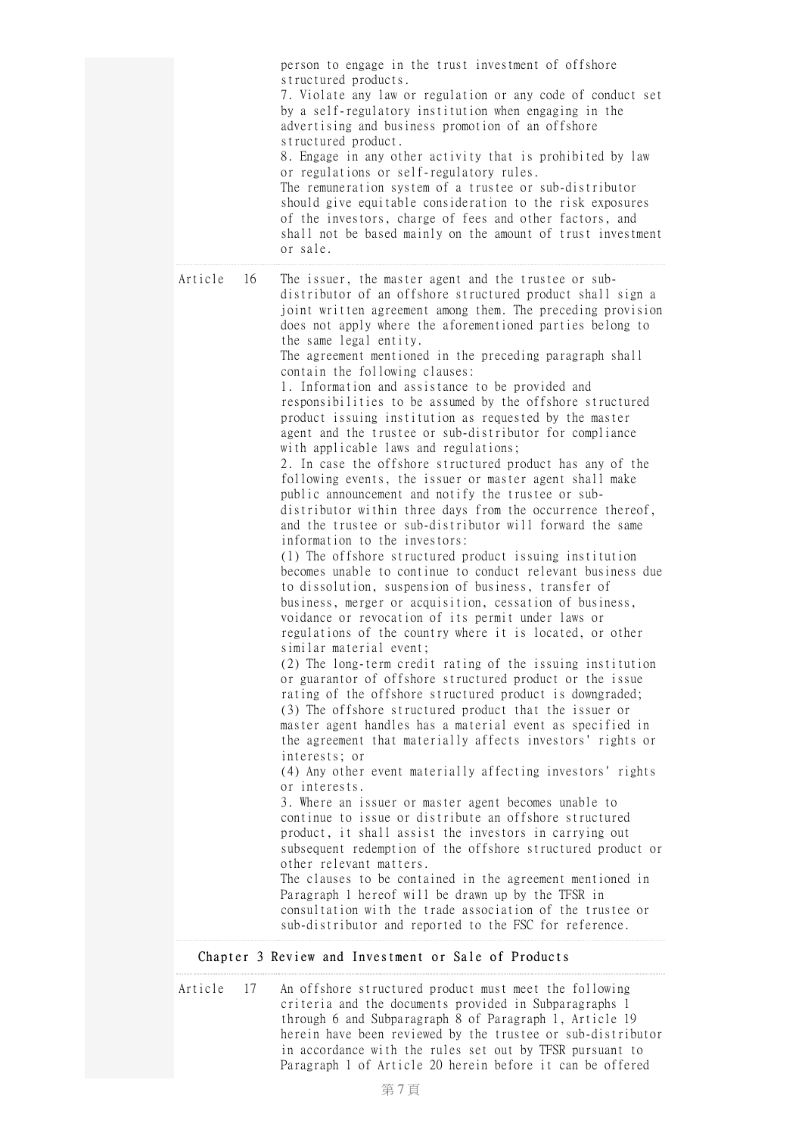|         |    | person to engage in the trust investment of offshore<br>structured products.<br>7. Violate any law or regulation or any code of conduct set<br>by a self-regulatory institution when engaging in the<br>advertising and business promotion of an offshore<br>structured product.<br>8. Engage in any other activity that is prohibited by law<br>or regulations or self-regulatory rules.<br>The remuneration system of a trustee or sub-distributor<br>should give equitable consideration to the risk exposures<br>of the investors, charge of fees and other factors, and<br>shall not be based mainly on the amount of trust investment<br>or sale.                                                                                                                                                                                                                                                                                                                                                                                                                                                                                                                                                                                                                                                                                                                                                                                                                                                                                                                                                                                                                                                                                                                                                                                                                                                                                                                                                                                                                                                                                                                                                                                                                                                                                                                            |
|---------|----|------------------------------------------------------------------------------------------------------------------------------------------------------------------------------------------------------------------------------------------------------------------------------------------------------------------------------------------------------------------------------------------------------------------------------------------------------------------------------------------------------------------------------------------------------------------------------------------------------------------------------------------------------------------------------------------------------------------------------------------------------------------------------------------------------------------------------------------------------------------------------------------------------------------------------------------------------------------------------------------------------------------------------------------------------------------------------------------------------------------------------------------------------------------------------------------------------------------------------------------------------------------------------------------------------------------------------------------------------------------------------------------------------------------------------------------------------------------------------------------------------------------------------------------------------------------------------------------------------------------------------------------------------------------------------------------------------------------------------------------------------------------------------------------------------------------------------------------------------------------------------------------------------------------------------------------------------------------------------------------------------------------------------------------------------------------------------------------------------------------------------------------------------------------------------------------------------------------------------------------------------------------------------------------------------------------------------------------------------------------------------------|
| Article | 16 | The issuer, the master agent and the trustee or sub-<br>distributor of an offshore structured product shall sign a<br>joint written agreement among them. The preceding provision<br>does not apply where the aforementioned parties belong to<br>the same legal entity.<br>The agreement mentioned in the preceding paragraph shall<br>contain the following clauses:<br>1. Information and assistance to be provided and<br>responsibilities to be assumed by the offshore structured<br>product issuing institution as requested by the master<br>agent and the trustee or sub-distributor for compliance<br>with applicable laws and regulations;<br>2. In case the offshore structured product has any of the<br>following events, the issuer or master agent shall make<br>public announcement and notify the trustee or sub-<br>distributor within three days from the occurrence thereof,<br>and the trustee or sub-distributor will forward the same<br>information to the investors:<br>(1) The offshore structured product issuing institution<br>becomes unable to continue to conduct relevant business due<br>to dissolution, suspension of business, transfer of<br>business, merger or acquisition, cessation of business,<br>voidance or revocation of its permit under laws or<br>regulations of the country where it is located, or other<br>similar material event;<br>(2) The long-term credit rating of the issuing institution<br>or guarantor of offshore structured product or the issue<br>rating of the offshore structured product is downgraded;<br>(3) The offshore structured product that the issuer or<br>master agent handles has a material event as specified in<br>the agreement that materially affects investors' rights or<br>interests; or<br>(4) Any other event materially affecting investors' rights<br>or interests.<br>3. Where an issuer or master agent becomes unable to<br>continue to issue or distribute an offshore structured<br>product, it shall assist the investors in carrying out<br>subsequent redemption of the offshore structured product or<br>other relevant matters.<br>The clauses to be contained in the agreement mentioned in<br>Paragraph 1 hereof will be drawn up by the TFSR in<br>consultation with the trade association of the trustee or<br>sub-distributor and reported to the FSC for reference. |

## Chapter 3 Review and Investment or Sale of Products

Article 17 An offshore structured product must meet the following criteria and the documents provided in Subparagraphs 1 through 6 and Subparagraph 8 of Paragraph 1, Article 19 herein have been reviewed by the trustee or sub-distributor in accordance with the rules set out by TFSR pursuant to Paragraph 1 of Article 20 herein before it can be offered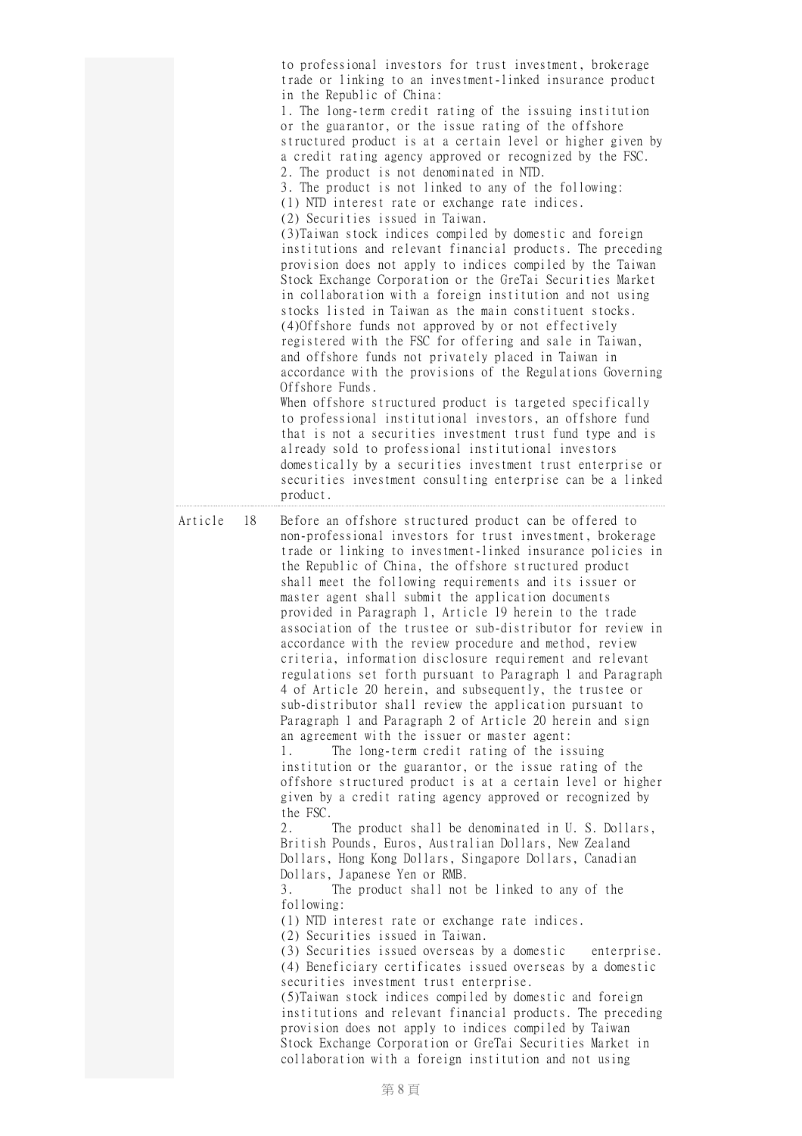|               | to professional investors for trust investment, brokerage<br>trade or linking to an investment-linked insurance product<br>in the Republic of China:<br>1. The long-term credit rating of the issuing institution<br>or the guarantor, or the issue rating of the offshore<br>structured product is at a certain level or higher given by<br>a credit rating agency approved or recognized by the FSC.<br>2. The product is not denominated in NTD.<br>3. The product is not linked to any of the following:<br>(1) NTD interest rate or exchange rate indices.<br>(2) Securities issued in Taiwan.<br>(3) Taiwan stock indices compiled by domestic and foreign<br>institutions and relevant financial products. The preceding<br>provision does not apply to indices compiled by the Taiwan<br>Stock Exchange Corporation or the GreTai Securities Market<br>in collaboration with a foreign institution and not using<br>stocks listed in Taiwan as the main constituent stocks.<br>(4) Offshore funds not approved by or not effectively<br>registered with the FSC for offering and sale in Taiwan,<br>and offshore funds not privately placed in Taiwan in<br>accordance with the provisions of the Regulations Governing<br>Offshore Funds.<br>When offshore structured product is targeted specifically<br>to professional institutional investors, an offshore fund<br>that is not a securities investment trust fund type and is<br>already sold to professional institutional investors<br>domestically by a securities investment trust enterprise or<br>securities investment consulting enterprise can be a linked<br>product.                                                                                                                                                                                                                                                                                                                                                                                                      |  |
|---------------|---------------------------------------------------------------------------------------------------------------------------------------------------------------------------------------------------------------------------------------------------------------------------------------------------------------------------------------------------------------------------------------------------------------------------------------------------------------------------------------------------------------------------------------------------------------------------------------------------------------------------------------------------------------------------------------------------------------------------------------------------------------------------------------------------------------------------------------------------------------------------------------------------------------------------------------------------------------------------------------------------------------------------------------------------------------------------------------------------------------------------------------------------------------------------------------------------------------------------------------------------------------------------------------------------------------------------------------------------------------------------------------------------------------------------------------------------------------------------------------------------------------------------------------------------------------------------------------------------------------------------------------------------------------------------------------------------------------------------------------------------------------------------------------------------------------------------------------------------------------------------------------------------------------------------------------------------------------------------------------------------------------------------------------------------|--|
| Article<br>18 | Before an offshore structured product can be offered to<br>non-professional investors for trust investment, brokerage<br>trade or linking to investment-linked insurance policies in<br>the Republic of China, the offshore structured product<br>shall meet the following requirements and its issuer or<br>master agent shall submit the application documents<br>provided in Paragraph 1, Article 19 herein to the trade<br>association of the trustee or sub-distributor for review in<br>accordance with the review procedure and method, review<br>criteria, information disclosure requirement and relevant<br>regulations set forth pursuant to Paragraph 1 and Paragraph<br>4 of Article 20 herein, and subsequently, the trustee or<br>sub-distributor shall review the application pursuant to<br>Paragraph 1 and Paragraph 2 of Article 20 herein and sign<br>an agreement with the issuer or master agent:<br>The long-term credit rating of the issuing<br>1.<br>institution or the guarantor, or the issue rating of the<br>offshore structured product is at a certain level or higher<br>given by a credit rating agency approved or recognized by<br>the FSC.<br>2.<br>The product shall be denominated in U.S. Dollars,<br>British Pounds, Euros, Australian Dollars, New Zealand<br>Dollars, Hong Kong Dollars, Singapore Dollars, Canadian<br>Dollars, Japanese Yen or RMB.<br>3.<br>The product shall not be linked to any of the<br>following:<br>(1) NTD interest rate or exchange rate indices.<br>(2) Securities issued in Taiwan.<br>(3) Securities issued overseas by a domestic<br>enterprise.<br>(4) Beneficiary certificates issued overseas by a domestic<br>securities investment trust enterprise.<br>(5) Taiwan stock indices compiled by domestic and foreign<br>institutions and relevant financial products. The preceding<br>provision does not apply to indices compiled by Taiwan<br>Stock Exchange Corporation or GreTai Securities Market in<br>collaboration with a foreign institution and not using |  |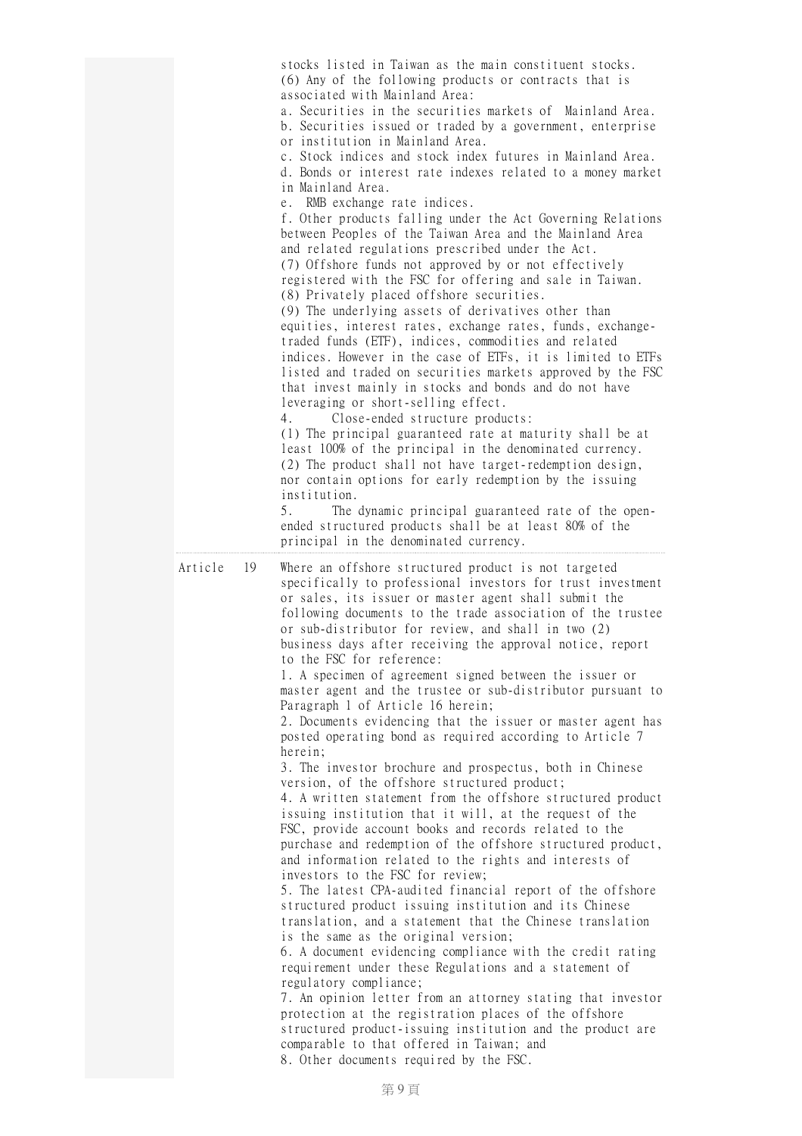|               | stocks listed in Taiwan as the main constituent stocks.<br>(6) Any of the following products or contracts that is<br>associated with Mainland Area:<br>a. Securities in the securities markets of Mainland Area.<br>b. Securities issued or traded by a government, enterprise<br>or institution in Mainland Area.<br>c. Stock indices and stock index futures in Mainland Area.<br>d. Bonds or interest rate indexes related to a money market<br>in Mainland Area.<br>e. RMB exchange rate indices.<br>f. Other products falling under the Act Governing Relations<br>between Peoples of the Taiwan Area and the Mainland Area<br>and related regulations prescribed under the Act.<br>(7) Offshore funds not approved by or not effectively<br>registered with the FSC for offering and sale in Taiwan.<br>(8) Privately placed offshore securities.<br>(9) The underlying assets of derivatives other than<br>equities, interest rates, exchange rates, funds, exchange-<br>traded funds (ETF), indices, commodities and related<br>indices. However in the case of ETFs, it is limited to ETFs<br>listed and traded on securities markets approved by the FSC<br>that invest mainly in stocks and bonds and do not have<br>leveraging or short-selling effect.<br>4.<br>Close-ended structure products:<br>(1) The principal guaranteed rate at maturity shall be at<br>least 100% of the principal in the denominated currency.<br>(2) The product shall not have target-redemption design,<br>nor contain options for early redemption by the issuing<br>institution.<br>5.<br>The dynamic principal guaranteed rate of the open-<br>ended structured products shall be at least 80% of the<br>principal in the denominated currency.                                                                               |
|---------------|----------------------------------------------------------------------------------------------------------------------------------------------------------------------------------------------------------------------------------------------------------------------------------------------------------------------------------------------------------------------------------------------------------------------------------------------------------------------------------------------------------------------------------------------------------------------------------------------------------------------------------------------------------------------------------------------------------------------------------------------------------------------------------------------------------------------------------------------------------------------------------------------------------------------------------------------------------------------------------------------------------------------------------------------------------------------------------------------------------------------------------------------------------------------------------------------------------------------------------------------------------------------------------------------------------------------------------------------------------------------------------------------------------------------------------------------------------------------------------------------------------------------------------------------------------------------------------------------------------------------------------------------------------------------------------------------------------------------------------------------------------------------------------------------------------------------------|
| Article<br>19 | Where an offshore structured product is not targeted<br>specifically to professional investors for trust investment<br>or sales, its issuer or master agent shall submit the<br>following documents to the trade association of the trustee<br>or sub-distributor for review, and shall in two (2)<br>business days after receiving the approval notice, report<br>to the FSC for reference:<br>1. A specimen of agreement signed between the issuer or<br>master agent and the trustee or sub-distributor pursuant to<br>Paragraph 1 of Article 16 herein;<br>2. Documents evidencing that the issuer or master agent has<br>posted operating bond as required according to Article 7<br>herein;<br>3. The investor brochure and prospectus, both in Chinese<br>version, of the offshore structured product;<br>4. A written statement from the offshore structured product<br>issuing institution that it will, at the request of the<br>FSC, provide account books and records related to the<br>purchase and redemption of the offshore structured product,<br>and information related to the rights and interests of<br>investors to the FSC for review;<br>5. The latest CPA-audited financial report of the offshore<br>structured product issuing institution and its Chinese<br>translation, and a statement that the Chinese translation<br>is the same as the original version;<br>6. A document evidencing compliance with the credit rating<br>requirement under these Regulations and a statement of<br>regulatory compliance;<br>7. An opinion letter from an attorney stating that investor<br>protection at the registration places of the offshore<br>structured product-issuing institution and the product are<br>comparable to that offered in Taiwan; and<br>8. Other documents required by the FSC. |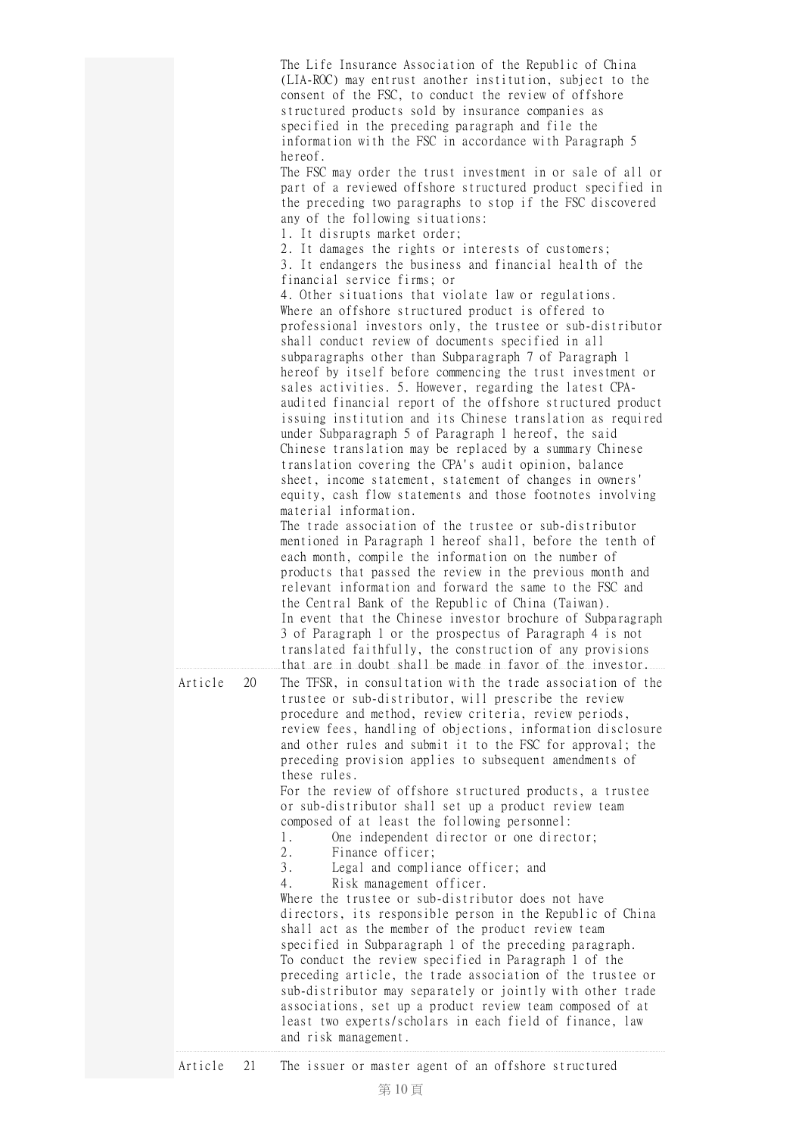|         | The Life Insurance Association of the Republic of China<br>(LIA-ROC) may entrust another institution, subject to the<br>consent of the FSC, to conduct the review of offshore<br>structured products sold by insurance companies as<br>specified in the preceding paragraph and file the<br>information with the FSC in accordance with Paragraph 5<br>hereof.<br>The FSC may order the trust investment in or sale of all or<br>part of a reviewed offshore structured product specified in<br>the preceding two paragraphs to stop if the FSC discovered<br>any of the following situations:<br>1. It disrupts market order;<br>2. It damages the rights or interests of customers;<br>3. It endangers the business and financial health of the<br>financial service firms; or<br>4. Other situations that violate law or regulations.<br>Where an offshore structured product is offered to<br>professional investors only, the trustee or sub-distributor<br>shall conduct review of documents specified in all<br>subparagraphs other than Subparagraph 7 of Paragraph 1<br>hereof by itself before commencing the trust investment or<br>sales activities. 5. However, regarding the latest CPA-<br>audited financial report of the offshore structured product<br>issuing institution and its Chinese translation as required<br>under Subparagraph 5 of Paragraph 1 hereof, the said<br>Chinese translation may be replaced by a summary Chinese<br>translation covering the CPA's audit opinion, balance<br>sheet, income statement, statement of changes in owners'<br>equity, cash flow statements and those footnotes involving<br>material information.<br>The trade association of the trustee or sub-distributor<br>mentioned in Paragraph 1 hereof shall, before the tenth of<br>each month, compile the information on the number of<br>products that passed the review in the previous month and<br>relevant information and forward the same to the FSC and<br>the Central Bank of the Republic of China (Taiwan).<br>In event that the Chinese investor brochure of Subparagraph<br>3 of Paragraph 1 or the prospectus of Paragraph 4 is not<br>translated faithfully, the construction of any provisions<br>that are in doubt shall be made in favor of the investor. |
|---------|--------------------------------------------------------------------------------------------------------------------------------------------------------------------------------------------------------------------------------------------------------------------------------------------------------------------------------------------------------------------------------------------------------------------------------------------------------------------------------------------------------------------------------------------------------------------------------------------------------------------------------------------------------------------------------------------------------------------------------------------------------------------------------------------------------------------------------------------------------------------------------------------------------------------------------------------------------------------------------------------------------------------------------------------------------------------------------------------------------------------------------------------------------------------------------------------------------------------------------------------------------------------------------------------------------------------------------------------------------------------------------------------------------------------------------------------------------------------------------------------------------------------------------------------------------------------------------------------------------------------------------------------------------------------------------------------------------------------------------------------------------------------------------------------------------------------------------------------------------------------------------------------------------------------------------------------------------------------------------------------------------------------------------------------------------------------------------------------------------------------------------------------------------------------------------------------------------------------------------------------------------------------------------------------|
| Article | 20<br>The TFSR, in consultation with the trade association of the<br>trustee or sub-distributor, will prescribe the review<br>procedure and method, review criteria, review periods,<br>review fees, handling of objections, information disclosure<br>and other rules and submit it to the FSC for approval; the<br>preceding provision applies to subsequent amendments of<br>these rules.<br>For the review of offshore structured products, a trustee<br>or sub-distributor shall set up a product review team<br>composed of at least the following personnel:<br>$1$ .<br>One independent director or one director;<br>2.<br>Finance officer;<br>3.<br>Legal and compliance officer; and<br>Risk management officer.<br>4.<br>Where the trustee or sub-distributor does not have<br>directors, its responsible person in the Republic of China<br>shall act as the member of the product review team<br>specified in Subparagraph 1 of the preceding paragraph.<br>To conduct the review specified in Paragraph 1 of the<br>preceding article, the trade association of the trustee or<br>sub-distributor may separately or jointly with other trade<br>associations, set up a product review team composed of at<br>least two experts/scholars in each field of finance, law<br>and risk management.                                                                                                                                                                                                                                                                                                                                                                                                                                                                                                                                                                                                                                                                                                                                                                                                                                                                                                                                                                                |
|         | r goont of an offshore atri<br>ጥኬ                                                                                                                                                                                                                                                                                                                                                                                                                                                                                                                                                                                                                                                                                                                                                                                                                                                                                                                                                                                                                                                                                                                                                                                                                                                                                                                                                                                                                                                                                                                                                                                                                                                                                                                                                                                                                                                                                                                                                                                                                                                                                                                                                                                                                                                          |

## Article 21 The issuer or master agent of an offshore structured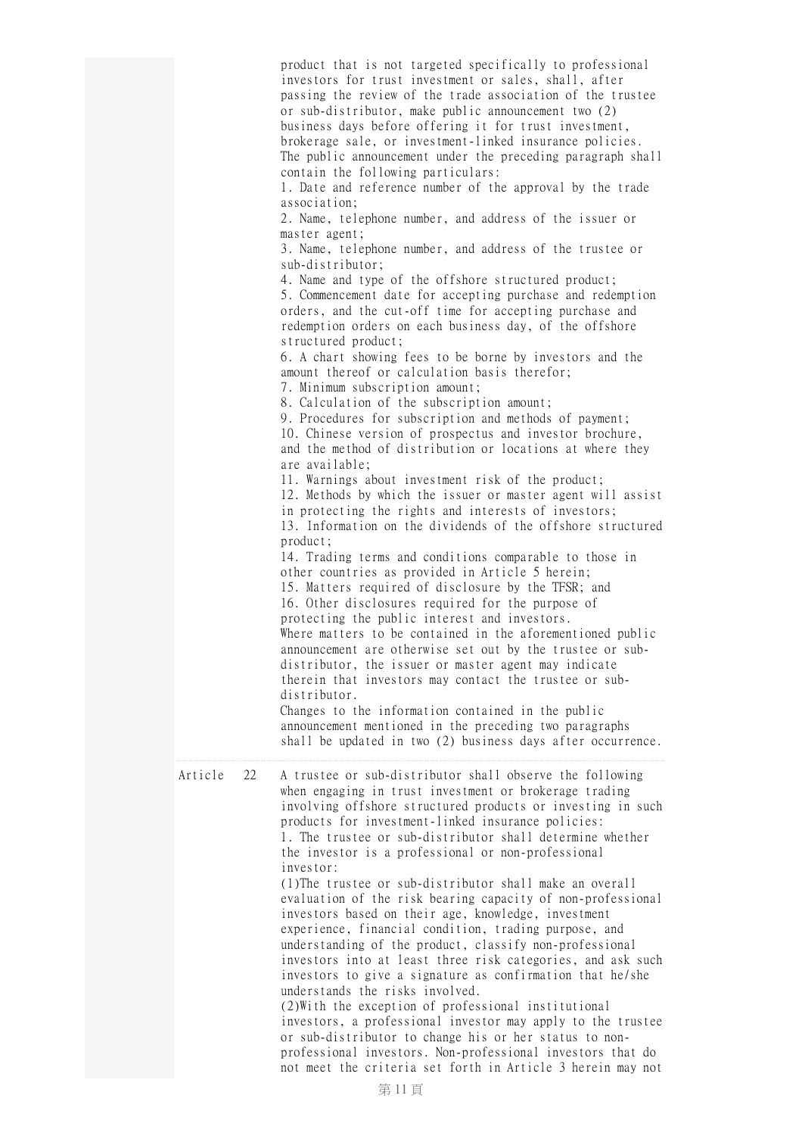|         |    | product that is not targeted specifically to professional<br>investors for trust investment or sales, shall, after<br>passing the review of the trade association of the trustee<br>or sub-distributor, make public announcement two (2)<br>business days before offering it for trust investment,<br>brokerage sale, or investment-linked insurance policies.<br>The public announcement under the preceding paragraph shall<br>contain the following particulars:<br>1. Date and reference number of the approval by the trade<br>association;<br>2. Name, telephone number, and address of the issuer or<br>master agent;<br>3. Name, telephone number, and address of the trustee or<br>sub-distributor;<br>4. Name and type of the offshore structured product;<br>5. Commencement date for accepting purchase and redemption<br>orders, and the cut-off time for accepting purchase and<br>redemption orders on each business day, of the offshore<br>structured product;<br>6. A chart showing fees to be borne by investors and the<br>amount thereof or calculation basis therefor;<br>7. Minimum subscription amount;<br>8. Calculation of the subscription amount;<br>9. Procedures for subscription and methods of payment;<br>10. Chinese version of prospectus and investor brochure,<br>and the method of distribution or locations at where they<br>are available;<br>11. Warnings about investment risk of the product;<br>12. Methods by which the issuer or master agent will assist<br>in protecting the rights and interests of investors;<br>13. Information on the dividends of the offshore structured<br>product;<br>14. Trading terms and conditions comparable to those in<br>other countries as provided in Article 5 herein;<br>15. Matters required of disclosure by the TFSR; and<br>16. Other disclosures required for the purpose of<br>protecting the public interest and investors.<br>Where matters to be contained in the aforementioned public<br>announcement are otherwise set out by the trustee or sub-<br>distributor, the issuer or master agent may indicate<br>therein that investors may contact the trustee or sub-<br>distributor.<br>Changes to the information contained in the public<br>announcement mentioned in the preceding two paragraphs<br>shall be updated in two (2) business days after occurrence. |
|---------|----|--------------------------------------------------------------------------------------------------------------------------------------------------------------------------------------------------------------------------------------------------------------------------------------------------------------------------------------------------------------------------------------------------------------------------------------------------------------------------------------------------------------------------------------------------------------------------------------------------------------------------------------------------------------------------------------------------------------------------------------------------------------------------------------------------------------------------------------------------------------------------------------------------------------------------------------------------------------------------------------------------------------------------------------------------------------------------------------------------------------------------------------------------------------------------------------------------------------------------------------------------------------------------------------------------------------------------------------------------------------------------------------------------------------------------------------------------------------------------------------------------------------------------------------------------------------------------------------------------------------------------------------------------------------------------------------------------------------------------------------------------------------------------------------------------------------------------------------------------------------------------------------------------------------------------------------------------------------------------------------------------------------------------------------------------------------------------------------------------------------------------------------------------------------------------------------------------------------------------------------------------------------------------------------------------------------------------------------------------------------------|
| Article | 22 | A trustee or sub-distributor shall observe the following<br>when engaging in trust investment or brokerage trading<br>involving offshore structured products or investing in such<br>products for investment-linked insurance policies:<br>1. The trustee or sub-distributor shall determine whether<br>the investor is a professional or non-professional<br>investor:<br>(1) The trustee or sub-distributor shall make an overall<br>evaluation of the risk bearing capacity of non-professional<br>investors based on their age, knowledge, investment<br>experience, financial condition, trading purpose, and<br>understanding of the product, classify non-professional<br>investors into at least three risk categories, and ask such<br>investors to give a signature as confirmation that he/she<br>understands the risks involved.<br>(2) With the exception of professional institutional<br>investors, a professional investor may apply to the trustee<br>or sub-distributor to change his or her status to non-<br>professional investors. Non-professional investors that do<br>not meet the criteria set forth in Article 3 herein may not                                                                                                                                                                                                                                                                                                                                                                                                                                                                                                                                                                                                                                                                                                                                                                                                                                                                                                                                                                                                                                                                                                                                                                                                         |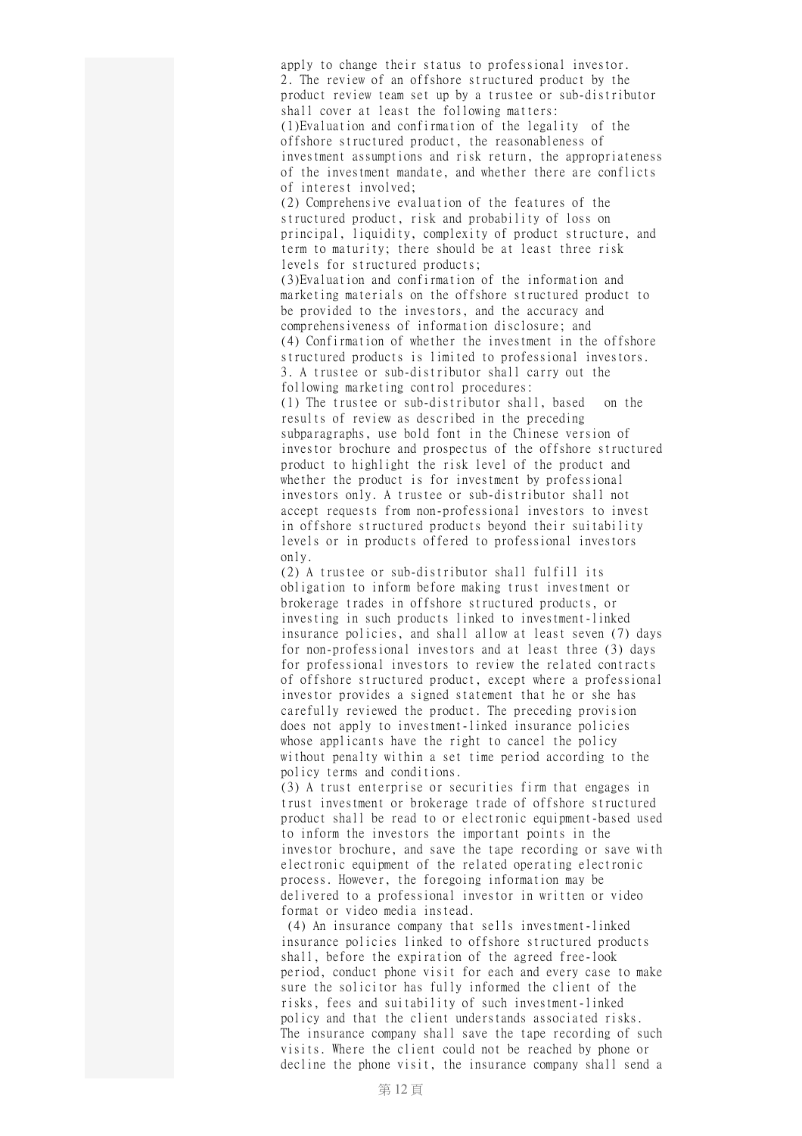apply to change their status to professional investor. 2. The review of an offshore structured product by the product review team set up by a trustee or sub-distributor shall cover at least the following matters: (1)Evaluation and confirmation of the legality of the offshore structured product, the reasonableness of investment assumptions and risk return, the appropriateness of the investment mandate, and whether there are conflicts of interest involved; (2) Comprehensive evaluation of the features of the

structured product, risk and probability of loss on principal, liquidity, complexity of product structure, and term to maturity; there should be at least three risk levels for structured products;

(3)Evaluation and confirmation of the information and marketing materials on the offshore structured product to be provided to the investors, and the accuracy and comprehensiveness of information disclosure; and (4) Confirmation of whether the investment in the offshore structured products is limited to professional investors. 3. A trustee or sub-distributor shall carry out the following marketing control procedures:

(1) The trustee or sub-distributor shall, based on the results of review as described in the preceding subparagraphs, use bold font in the Chinese version of investor brochure and prospectus of the offshore structured product to highlight the risk level of the product and whether the product is for investment by professional investors only. A trustee or sub-distributor shall not accept requests from non-professional investors to invest in offshore structured products beyond their suitability levels or in products offered to professional investors only.

(2) A trustee or sub-distributor shall fulfill its obligation to inform before making trust investment or brokerage trades in offshore structured products, or investing in such products linked to investment-linked insurance policies, and shall allow at least seven (7) days for non-professional investors and at least three (3) days for professional investors to review the related contracts of offshore structured product, except where a professional investor provides a signed statement that he or she has carefully reviewed the product. The preceding provision does not apply to investment-linked insurance policies whose applicants have the right to cancel the policy without penalty within a set time period according to the policy terms and conditions.

(3) A trust enterprise or securities firm that engages in trust investment or brokerage trade of offshore structured product shall be read to or electronic equipment-based used to inform the investors the important points in the investor brochure, and save the tape recording or save with electronic equipment of the related operating electronic process. However, the foregoing information may be delivered to a professional investor in written or video format or video media instead.

(4) An insurance company that sells investment-linked insurance policies linked to offshore structured products shall, before the expiration of the agreed free-look period, conduct phone visit for each and every case to make sure the solicitor has fully informed the client of the risks, fees and suitability of such investment-linked policy and that the client understands associated risks. The insurance company shall save the tape recording of such visits. Where the client could not be reached by phone or decline the phone visit, the insurance company shall send a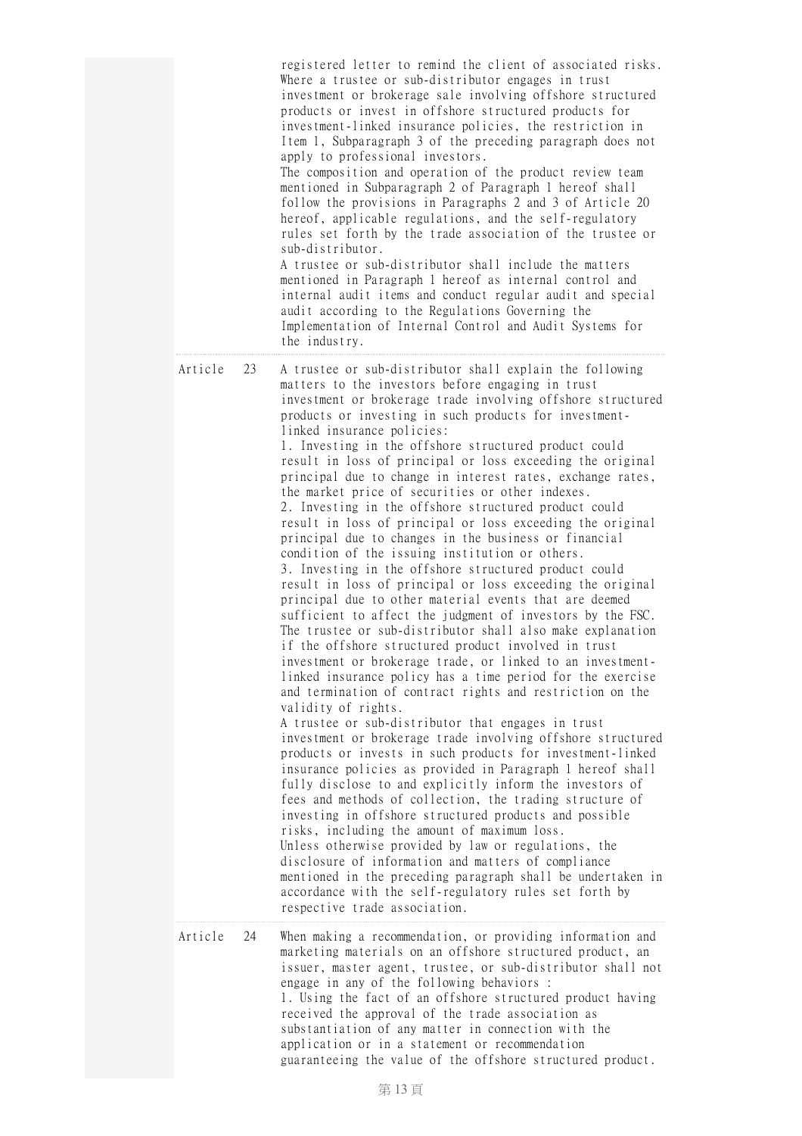|               | registered letter to remind the client of associated risks.<br>Where a trustee or sub-distributor engages in trust<br>investment or brokerage sale involving offshore structured<br>products or invest in offshore structured products for<br>investment-linked insurance policies, the restriction in<br>Item 1, Subparagraph 3 of the preceding paragraph does not<br>apply to professional investors.<br>The composition and operation of the product review team<br>mentioned in Subparagraph 2 of Paragraph 1 hereof shall<br>follow the provisions in Paragraphs 2 and 3 of Article 20<br>hereof, applicable regulations, and the self-regulatory<br>rules set forth by the trade association of the trustee or<br>sub-distributor.<br>A trustee or sub-distributor shall include the matters<br>mentioned in Paragraph 1 hereof as internal control and<br>internal audit items and conduct regular audit and special<br>audit according to the Regulations Governing the<br>Implementation of Internal Control and Audit Systems for<br>the industry.                                                                                                                                                                                                                                                                                                                                                                                                                                                                                                                                                                                                                                                                                                                                                                                                                                                                                                                                                                                                                                     |
|---------------|---------------------------------------------------------------------------------------------------------------------------------------------------------------------------------------------------------------------------------------------------------------------------------------------------------------------------------------------------------------------------------------------------------------------------------------------------------------------------------------------------------------------------------------------------------------------------------------------------------------------------------------------------------------------------------------------------------------------------------------------------------------------------------------------------------------------------------------------------------------------------------------------------------------------------------------------------------------------------------------------------------------------------------------------------------------------------------------------------------------------------------------------------------------------------------------------------------------------------------------------------------------------------------------------------------------------------------------------------------------------------------------------------------------------------------------------------------------------------------------------------------------------------------------------------------------------------------------------------------------------------------------------------------------------------------------------------------------------------------------------------------------------------------------------------------------------------------------------------------------------------------------------------------------------------------------------------------------------------------------------------------------------------------------------------------------------------------------------------|
| Article<br>23 | A trustee or sub-distributor shall explain the following<br>matters to the investors before engaging in trust<br>investment or brokerage trade involving offshore structured<br>products or investing in such products for investment-<br>linked insurance policies:<br>1. Investing in the offshore structured product could<br>result in loss of principal or loss exceeding the original<br>principal due to change in interest rates, exchange rates,<br>the market price of securities or other indexes.<br>2. Investing in the offshore structured product could<br>result in loss of principal or loss exceeding the original<br>principal due to changes in the business or financial<br>condition of the issuing institution or others.<br>3. Investing in the offshore structured product could<br>result in loss of principal or loss exceeding the original<br>principal due to other material events that are deemed<br>sufficient to affect the judgment of investors by the FSC.<br>The trustee or sub-distributor shall also make explanation<br>if the offshore structured product involved in trust<br>investment or brokerage trade, or linked to an investment-<br>linked insurance policy has a time period for the exercise<br>and termination of contract rights and restriction on the<br>validity of rights.<br>A trustee or sub-distributor that engages in trust<br>investment or brokerage trade involving offshore structured<br>products or invests in such products for investment-linked<br>insurance policies as provided in Paragraph 1 hereof shall<br>fully disclose to and explicitly inform the investors of<br>fees and methods of collection, the trading structure of<br>investing in offshore structured products and possible<br>risks, including the amount of maximum loss.<br>Unless otherwise provided by law or regulations, the<br>disclosure of information and matters of compliance<br>mentioned in the preceding paragraph shall be undertaken in<br>accordance with the self-regulatory rules set forth by<br>respective trade association. |
| Article<br>24 | When making a recommendation, or providing information and<br>marketing materials on an offshore structured product, an<br>issuer, master agent, trustee, or sub-distributor shall not<br>engage in any of the following behaviors :<br>1. Using the fact of an offshore structured product having<br>received the approval of the trade association as<br>substantiation of any matter in connection with the<br>application or in a statement or recommendation<br>guaranteeing the value of the offshore structured product.                                                                                                                                                                                                                                                                                                                                                                                                                                                                                                                                                                                                                                                                                                                                                                                                                                                                                                                                                                                                                                                                                                                                                                                                                                                                                                                                                                                                                                                                                                                                                                   |